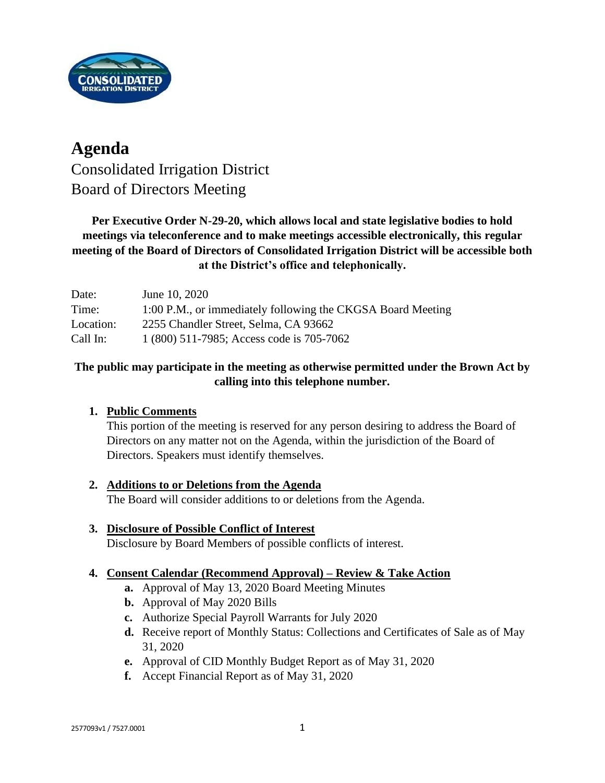

# **Agenda** Consolidated Irrigation District Board of Directors Meeting

### **Per Executive Order N-29-20, which allows local and state legislative bodies to hold meetings via teleconference and to make meetings accessible electronically, this regular meeting of the Board of Directors of Consolidated Irrigation District will be accessible both at the District's office and telephonically.**

| Date:     | June 10, 2020                                               |
|-----------|-------------------------------------------------------------|
| Time:     | 1:00 P.M., or immediately following the CKGSA Board Meeting |
| Location: | 2255 Chandler Street, Selma, CA 93662                       |
| Call In:  | 1 (800) 511-7985; Access code is 705-7062                   |

#### **The public may participate in the meeting as otherwise permitted under the Brown Act by calling into this telephone number.**

### **1. Public Comments**

This portion of the meeting is reserved for any person desiring to address the Board of Directors on any matter not on the Agenda, within the jurisdiction of the Board of Directors. Speakers must identify themselves.

## **2. Additions to or Deletions from the Agenda**

The Board will consider additions to or deletions from the Agenda.

#### **3. Disclosure of Possible Conflict of Interest** Disclosure by Board Members of possible conflicts of interest.

## **4. Consent Calendar (Recommend Approval) – Review & Take Action**

- **a.** Approval of May 13, 2020 Board Meeting Minutes
- **b.** Approval of May 2020 Bills
- **c.** Authorize Special Payroll Warrants for July 2020
- **d.** Receive report of Monthly Status: Collections and Certificates of Sale as of May 31, 2020
- **e.** Approval of CID Monthly Budget Report as of May 31, 2020
- **f.** Accept Financial Report as of May 31, 2020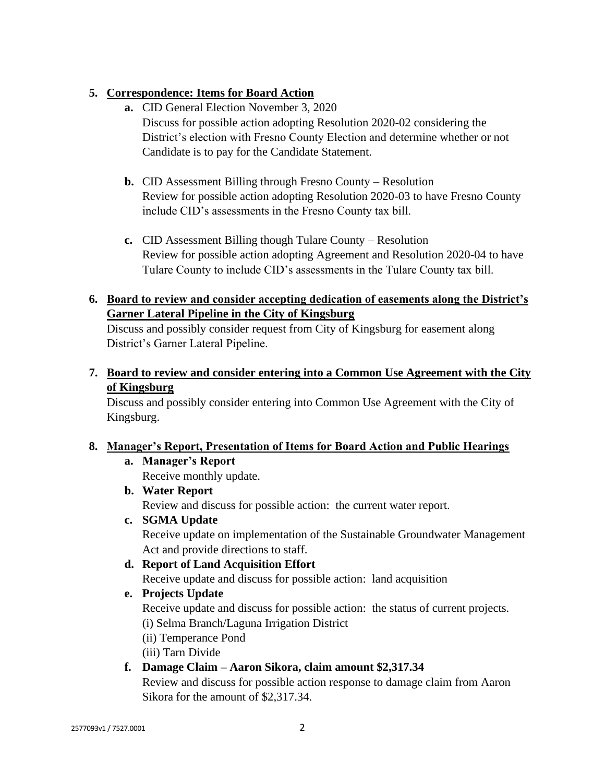#### **5. Correspondence: Items for Board Action**

- **a.** CID General Election November 3, 2020 Discuss for possible action adopting Resolution 2020-02 considering the District's election with Fresno County Election and determine whether or not Candidate is to pay for the Candidate Statement.
- **b.** CID Assessment Billing through Fresno County Resolution Review for possible action adopting Resolution 2020-03 to have Fresno County include CID's assessments in the Fresno County tax bill.
- **c.** CID Assessment Billing though Tulare County Resolution Review for possible action adopting Agreement and Resolution 2020-04 to have Tulare County to include CID's assessments in the Tulare County tax bill.

#### **6. Board to review and consider accepting dedication of easements along the District's Garner Lateral Pipeline in the City of Kingsburg**

Discuss and possibly consider request from City of Kingsburg for easement along District's Garner Lateral Pipeline.

**7. Board to review and consider entering into a Common Use Agreement with the City of Kingsburg**

Discuss and possibly consider entering into Common Use Agreement with the City of Kingsburg.

#### **8. Manager's Report, Presentation of Items for Board Action and Public Hearings**

#### **a. Manager's Report**

Receive monthly update.

**b. Water Report**

Review and discuss for possible action: the current water report.

**c. SGMA Update**

Receive update on implementation of the Sustainable Groundwater Management Act and provide directions to staff.

**d. Report of Land Acquisition Effort**

Receive update and discuss for possible action: land acquisition

**e. Projects Update**

Receive update and discuss for possible action: the status of current projects.

(i) Selma Branch/Laguna Irrigation District

(ii) Temperance Pond

(iii) Tarn Divide

### **f. Damage Claim – Aaron Sikora, claim amount \$2,317.34**

Review and discuss for possible action response to damage claim from Aaron Sikora for the amount of \$2,317.34.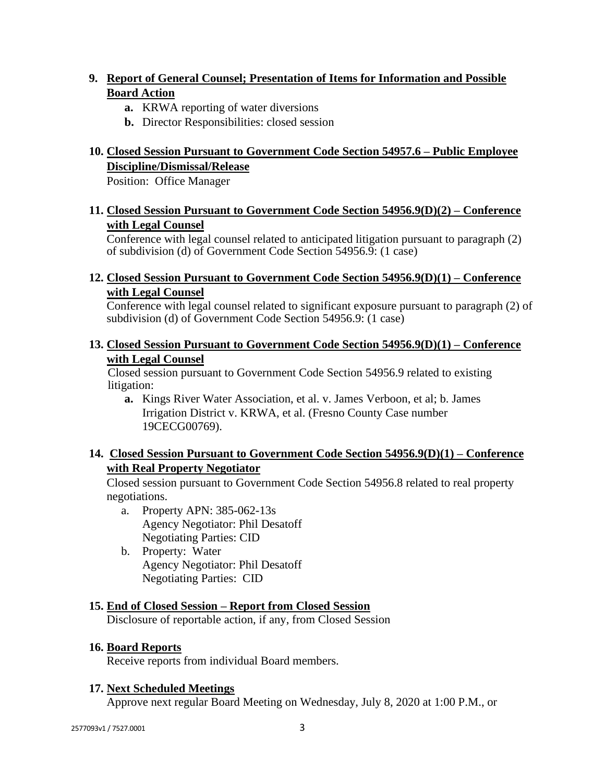#### **9. Report of General Counsel; Presentation of Items for Information and Possible Board Action**

- **a.** KRWA reporting of water diversions
- **b.** Director Responsibilities: closed session

#### **10. Closed Session Pursuant to Government Code Section 54957.6 – Public Employee Discipline/Dismissal/Release**

Position: Office Manager

#### **11. Closed Session Pursuant to Government Code Section 54956.9(D)(2) – Conference with Legal Counsel**

Conference with legal counsel related to anticipated litigation pursuant to paragraph (2) of subdivision (d) of Government Code Section 54956.9: (1 case)

#### **12. Closed Session Pursuant to Government Code Section 54956.9(D)(1) – Conference with Legal Counsel**

Conference with legal counsel related to significant exposure pursuant to paragraph (2) of subdivision (d) of Government Code Section 54956.9: (1 case)

#### **13. Closed Session Pursuant to Government Code Section 54956.9(D)(1) – Conference with Legal Counsel**

Closed session pursuant to Government Code Section 54956.9 related to existing litigation:

**a.** Kings River Water Association, et al. v. James Verboon, et al; b. James Irrigation District v. KRWA, et al. (Fresno County Case number 19CECG00769).

#### **14. Closed Session Pursuant to Government Code Section 54956.9(D)(1) – Conference with Real Property Negotiator**

Closed session pursuant to Government Code Section 54956.8 related to real property negotiations.

- a. Property APN: 385-062-13s Agency Negotiator: Phil Desatoff Negotiating Parties: CID
- b. Property: Water Agency Negotiator: Phil Desatoff Negotiating Parties: CID

### **15. End of Closed Session – Report from Closed Session**

Disclosure of reportable action, if any, from Closed Session

#### **16. Board Reports**

Receive reports from individual Board members.

#### **17. Next Scheduled Meetings**

Approve next regular Board Meeting on Wednesday, July 8, 2020 at 1:00 P.M., or